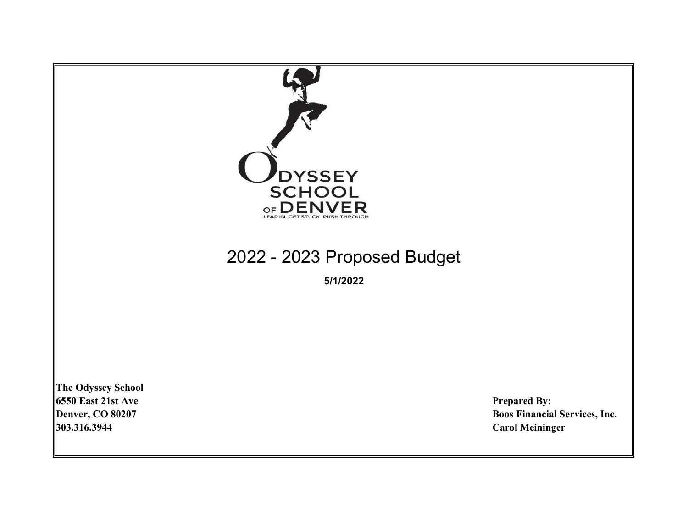